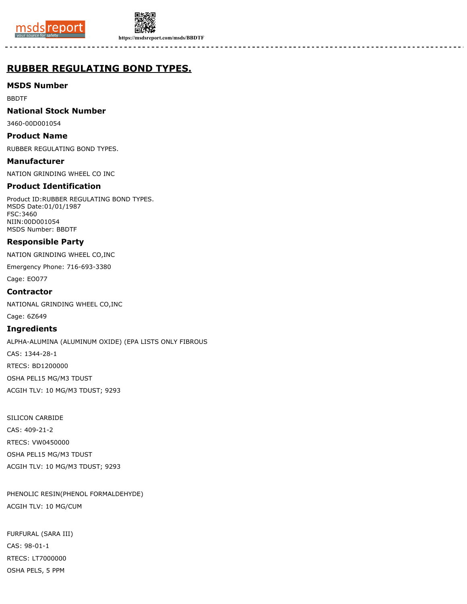



**https://msdsreport.com/msds/BBDTF**

# **RUBBER REGULATING BOND TYPES.**

# **MSDS Number**

BBDTF

### **National Stock Number**

3460-00D001054

### **Product Name**

RUBBER REGULATING BOND TYPES.

**Manufacturer** NATION GRINDING WHEEL CO INC

# **Product Identification**

Product ID:RUBBER REGULATING BOND TYPES. MSDS Date:01/01/1987 FSC:3460 NIIN:00D001054 MSDS Number: BBDTF

# **Responsible Party**

NATION GRINDING WHEEL CO,INC

Emergency Phone: 716-693-3380

Cage: EO077

### **Contractor**

NATIONAL GRINDING WHEEL CO,INC

Cage: 6Z649

# **Ingredients**

ALPHA-ALUMINA (ALUMINUM OXIDE) (EPA LISTS ONLY FIBROUS CAS: 1344-28-1 RTECS: BD1200000 OSHA PEL15 MG/M3 TDUST ACGIH TLV: 10 MG/M3 TDUST; 9293

SILICON CARBIDE CAS: 409-21-2 RTECS: VW0450000 OSHA PEL15 MG/M3 TDUST ACGIH TLV: 10 MG/M3 TDUST; 9293

PHENOLIC RESIN(PHENOL FORMALDEHYDE) ACGIH TLV: 10 MG/CUM

FURFURAL (SARA III) CAS: 98-01-1 RTECS: LT7000000 OSHA PELS, 5 PPM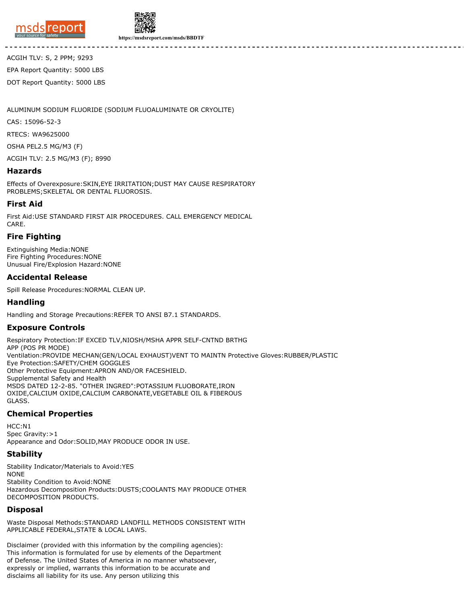



ACGIH TLV: S, 2 PPM; 9293 EPA Report Quantity: 5000 LBS DOT Report Quantity: 5000 LBS

ALUMINUM SODIUM FLUORIDE (SODIUM FLUOALUMINATE OR CRYOLITE)

CAS: 15096-52-3

RTECS: WA9625000

OSHA PEL2.5 MG/M3 (F)

ACGIH TLV: 2.5 MG/M3 (F); 8990

#### **Hazards**

Effects of Overexposure:SKIN,EYE IRRITATION;DUST MAY CAUSE RESPIRATORY PROBLEMS;SKELETAL OR DENTAL FLUOROSIS.

#### **First Aid**

First Aid:USE STANDARD FIRST AIR PROCEDURES. CALL EMERGENCY MEDICAL CARE.

#### **Fire Fighting**

Extinguishing Media:NONE Fire Fighting Procedures:NONE Unusual Fire/Explosion Hazard:NONE

#### **Accidental Release**

Spill Release Procedures:NORMAL CLEAN UP.

#### **Handling**

Handling and Storage Precautions:REFER TO ANSI B7.1 STANDARDS.

#### **Exposure Controls**

Respiratory Protection:IF EXCED TLV,NIOSH/MSHA APPR SELF-CNTND BRTHG APP (POS PR MODE) Ventilation:PROVIDE MECHAN(GEN/LOCAL EXHAUST)VENT TO MAINTN Protective Gloves:RUBBER/PLASTIC Eye Protection:SAFETY/CHEM GOGGLES Other Protective Equipment:APRON AND/OR FACESHIELD. Supplemental Safety and Health MSDS DATED 12-2-85. "OTHER INGRED":POTASSIUM FLUOBORATE,IRON OXIDE,CALCIUM OXIDE,CALCIUM CARBONATE,VEGETABLE OIL & FIBEROUS GLASS.

#### **Chemical Properties**

HCC:N1 Spec Gravity: > 1 Appearance and Odor:SOLID,MAY PRODUCE ODOR IN USE.

#### **Stability**

Stability Indicator/Materials to Avoid:YES NONE Stability Condition to Avoid:NONE Hazardous Decomposition Products:DUSTS;COOLANTS MAY PRODUCE OTHER DECOMPOSITION PRODUCTS.

#### **Disposal**

Waste Disposal Methods:STANDARD LANDFILL METHODS CONSISTENT WITH APPLICABLE FEDERAL,STATE & LOCAL LAWS.

Disclaimer (provided with this information by the compiling agencies): This information is formulated for use by elements of the Department of Defense. The United States of America in no manner whatsoever, expressly or implied, warrants this information to be accurate and disclaims all liability for its use. Any person utilizing this